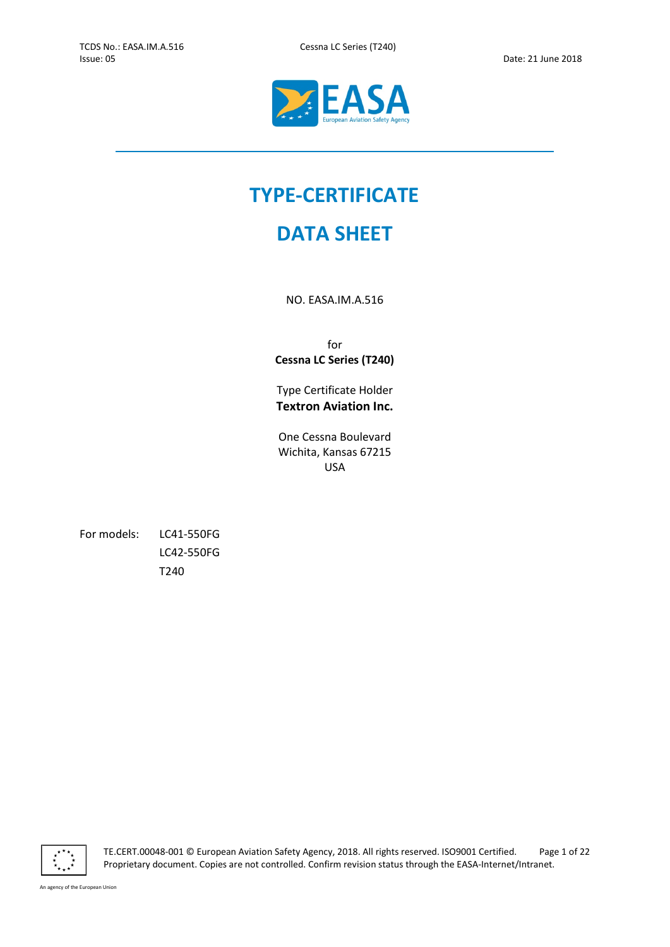$\overline{a}$ 



# TYPE-CERTIFICATE

# DATA SHEET

NO. EASA.IM.A.516

for Cessna LC Series (T240)

Type Certificate Holder Textron Aviation Inc.

One Cessna Boulevard Wichita, Kansas 67215 USA

For models: LC41-550FG LC42-550FG T240



TE.CERT.00048-001 © European Aviation Safety Agency, 2018. All rights reserved. ISO9001 Certified. Page 1 of 22 Proprietary document. Copies are not controlled. Confirm revision status through the EASA-Internet/Intranet.

An agency of the European Union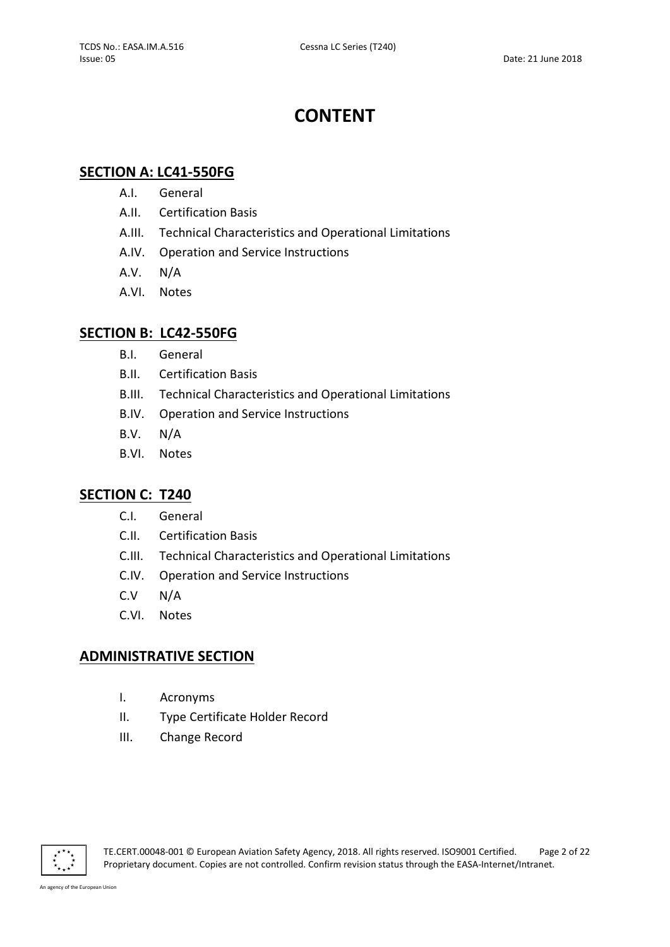# CONTENT

# SECTION A: LC41-550FG

- A.I. General
- A.II. Certification Basis
- A.III. Technical Characteristics and Operational Limitations
- A.IV. Operation and Service Instructions
- A.V. N/A
- A.VI. Notes

## SECTION B: LC42-550FG

- B.I. General
- B.II. Certification Basis
- B.III. Technical Characteristics and Operational Limitations
- B.IV. Operation and Service Instructions
- B.V. N/A
- B.VI. Notes

# SECTION C: T240

- C.I. General
- C.II. Certification Basis
- C.III. Technical Characteristics and Operational Limitations
- C.IV. Operation and Service Instructions
- C.V N/A
- C.VI. Notes

# ADMINISTRATIVE SECTION

- I. Acronyms
- II. Type Certificate Holder Record
- III. Change Record

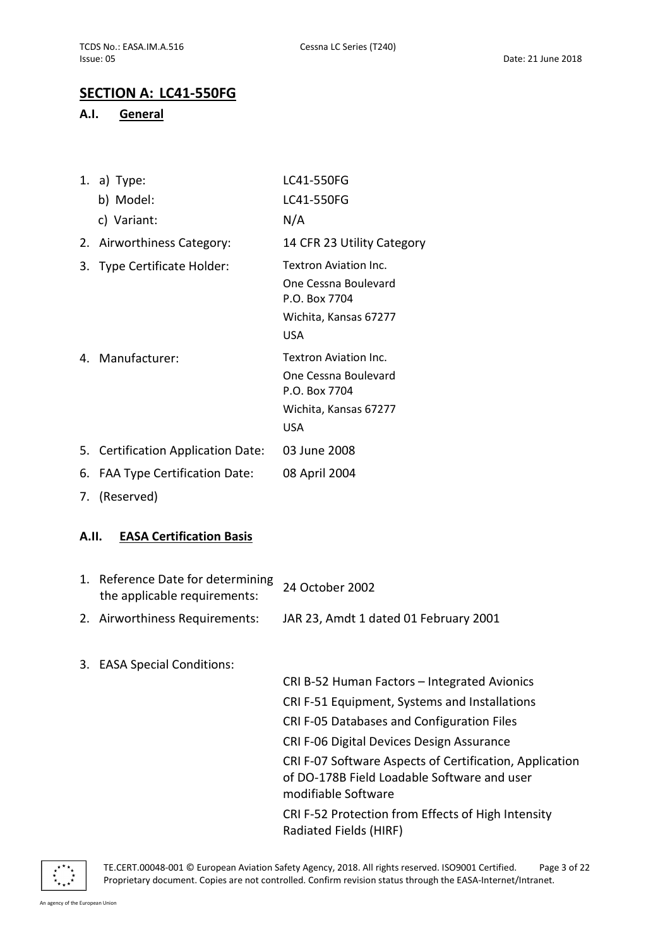# SECTION A: LC41-550FG

### A.I. General

|    | 1. a) Type:                        | LC41-550FG                            |
|----|------------------------------------|---------------------------------------|
|    | b) Model:                          | LC41-550FG                            |
|    | c) Variant:                        | N/A                                   |
|    | 2. Airworthiness Category:         | 14 CFR 23 Utility Category            |
| 3. | <b>Type Certificate Holder:</b>    | Textron Aviation Inc.                 |
|    |                                    | One Cessna Boulevard<br>P.O. Box 7704 |
|    |                                    | Wichita, Kansas 67277                 |
|    |                                    | <b>USA</b>                            |
|    | 4. Manufacturer:                   | Textron Aviation Inc.                 |
|    |                                    | One Cessna Boulevard<br>P.O. Box 7704 |
|    |                                    | Wichita, Kansas 67277                 |
|    |                                    | <b>USA</b>                            |
|    | 5. Certification Application Date: | 03 June 2008                          |
|    | 6. FAA Type Certification Date:    | 08 April 2004                         |

7. (Reserved)

### A.II. EASA Certification Basis

| 1. Reference Date for determining 24 October 2002<br>the applicable requirements: |                                       |
|-----------------------------------------------------------------------------------|---------------------------------------|
| 2. Airworthiness Requirements:                                                    | JAR 23, Amdt 1 dated 01 February 2001 |

3. EASA Special Conditions:

CRI B-52 Human Factors – Integrated Avionics CRI F-51 Equipment, Systems and Installations CRI F-05 Databases and Configuration Files CRI F-06 Digital Devices Design Assurance CRI F-07 Software Aspects of Certification, Application of DO-178B Field Loadable Software and user modifiable Software CRI F-52 Protection from Effects of High Intensity Radiated Fields (HIRF)



TE.CERT.00048-001 © European Aviation Safety Agency, 2018. All rights reserved. ISO9001 Certified. Page 3 of 22 Proprietary document. Copies are not controlled. Confirm revision status through the EASA-Internet/Intranet.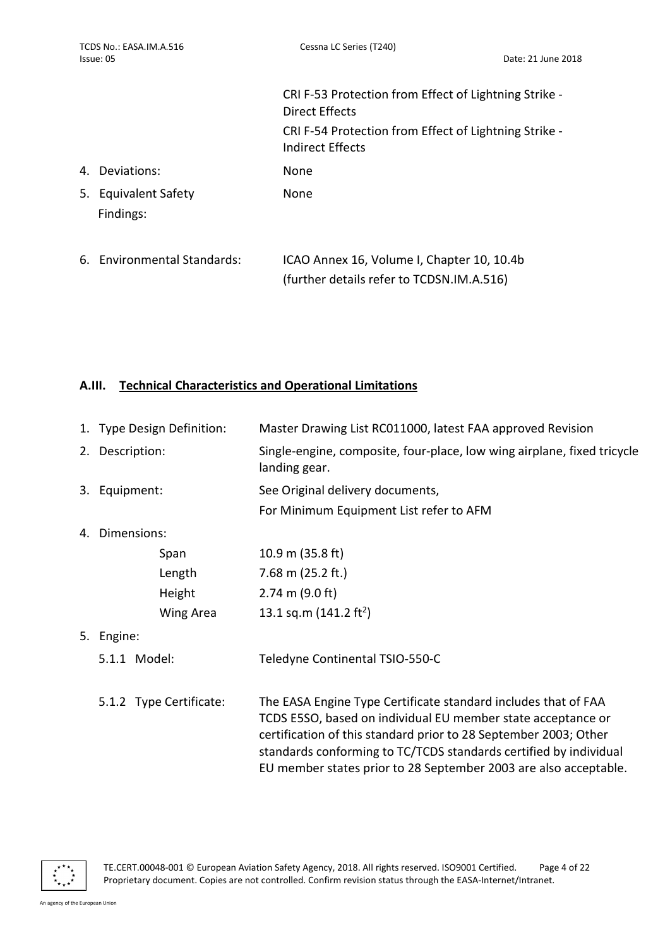|                                   | CRI F-53 Protection from Effect of Lightning Strike -<br>Direct Effects                 |
|-----------------------------------|-----------------------------------------------------------------------------------------|
|                                   | CRI F-54 Protection from Effect of Lightning Strike -<br>Indirect Effects               |
| 4. Deviations:                    | None                                                                                    |
| 5. Equivalent Safety<br>Findings: | None                                                                                    |
| 6. Environmental Standards:       | ICAO Annex 16, Volume I, Chapter 10, 10.4b<br>(further details refer to TCDSN.IM.A.516) |

# A.III. Technical Characteristics and Operational Limitations

| 1. Type Design Definition: |                 | Master Drawing List RC011000, latest FAA approved Revision                                                                                                                                                                                                                                                                                  |  |
|----------------------------|-----------------|---------------------------------------------------------------------------------------------------------------------------------------------------------------------------------------------------------------------------------------------------------------------------------------------------------------------------------------------|--|
|                            | 2. Description: | Single-engine, composite, four-place, low wing airplane, fixed tricycle<br>landing gear.                                                                                                                                                                                                                                                    |  |
|                            | 3. Equipment:   | See Original delivery documents,                                                                                                                                                                                                                                                                                                            |  |
|                            |                 | For Minimum Equipment List refer to AFM                                                                                                                                                                                                                                                                                                     |  |
|                            | 4. Dimensions:  |                                                                                                                                                                                                                                                                                                                                             |  |
|                            | Span            | 10.9 m $(35.8 \text{ ft})$                                                                                                                                                                                                                                                                                                                  |  |
|                            | Length          | 7.68 m $(25.2 ft.)$                                                                                                                                                                                                                                                                                                                         |  |
|                            | Height          | $2.74 \text{ m} (9.0 \text{ ft})$                                                                                                                                                                                                                                                                                                           |  |
|                            | Wing Area       | 13.1 sq.m $(141.2 \text{ ft}^2)$                                                                                                                                                                                                                                                                                                            |  |
| 5.                         | Engine:         |                                                                                                                                                                                                                                                                                                                                             |  |
|                            | 5.1.1 Model:    | Teledyne Continental TSIO-550-C                                                                                                                                                                                                                                                                                                             |  |
| 5.1.2 Type Certificate:    |                 | The EASA Engine Type Certificate standard includes that of FAA<br>TCDS E5SO, based on individual EU member state acceptance or<br>certification of this standard prior to 28 September 2003; Other<br>standards conforming to TC/TCDS standards certified by individual<br>EU member states prior to 28 September 2003 are also acceptable. |  |

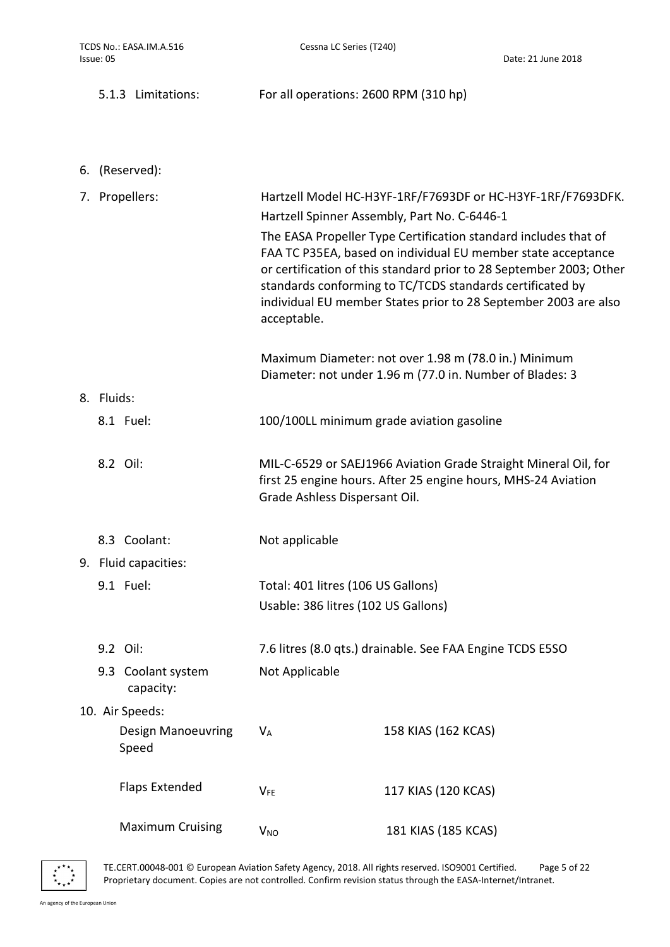|            | 5.1.3 Limitations:                 | For all operations: 2600 RPM (310 hp)                                                                                                                                                                                                                                                                                                                                                                                                                                |                                                                                                                                  |  |
|------------|------------------------------------|----------------------------------------------------------------------------------------------------------------------------------------------------------------------------------------------------------------------------------------------------------------------------------------------------------------------------------------------------------------------------------------------------------------------------------------------------------------------|----------------------------------------------------------------------------------------------------------------------------------|--|
|            |                                    |                                                                                                                                                                                                                                                                                                                                                                                                                                                                      |                                                                                                                                  |  |
|            | 6. (Reserved):                     |                                                                                                                                                                                                                                                                                                                                                                                                                                                                      |                                                                                                                                  |  |
|            | 7. Propellers:                     | Hartzell Model HC-H3YF-1RF/F7693DF or HC-H3YF-1RF/F7693DFK.<br>Hartzell Spinner Assembly, Part No. C-6446-1<br>The EASA Propeller Type Certification standard includes that of<br>FAA TC P35EA, based on individual EU member state acceptance<br>or certification of this standard prior to 28 September 2003; Other<br>standards conforming to TC/TCDS standards certificated by<br>individual EU member States prior to 28 September 2003 are also<br>acceptable. |                                                                                                                                  |  |
|            |                                    |                                                                                                                                                                                                                                                                                                                                                                                                                                                                      | Maximum Diameter: not over 1.98 m (78.0 in.) Minimum<br>Diameter: not under 1.96 m (77.0 in. Number of Blades: 3                 |  |
| 8. Fluids: |                                    |                                                                                                                                                                                                                                                                                                                                                                                                                                                                      |                                                                                                                                  |  |
|            | 8.1 Fuel:                          | 100/100LL minimum grade aviation gasoline                                                                                                                                                                                                                                                                                                                                                                                                                            |                                                                                                                                  |  |
|            | 8.2 Oil:                           | Grade Ashless Dispersant Oil.                                                                                                                                                                                                                                                                                                                                                                                                                                        | MIL-C-6529 or SAEJ1966 Aviation Grade Straight Mineral Oil, for<br>first 25 engine hours. After 25 engine hours, MHS-24 Aviation |  |
|            | 8.3 Coolant:                       | Not applicable                                                                                                                                                                                                                                                                                                                                                                                                                                                       |                                                                                                                                  |  |
|            | 9. Fluid capacities:               |                                                                                                                                                                                                                                                                                                                                                                                                                                                                      |                                                                                                                                  |  |
|            | 9.1 Fuel:                          | Total: 401 litres (106 US Gallons)<br>Usable: 386 litres (102 US Gallons)                                                                                                                                                                                                                                                                                                                                                                                            |                                                                                                                                  |  |
|            | 9.2 Oil:                           |                                                                                                                                                                                                                                                                                                                                                                                                                                                                      | 7.6 litres (8.0 qts.) drainable. See FAA Engine TCDS E5SO                                                                        |  |
|            | 9.3 Coolant system<br>capacity:    | Not Applicable                                                                                                                                                                                                                                                                                                                                                                                                                                                       |                                                                                                                                  |  |
|            | 10. Air Speeds:                    |                                                                                                                                                                                                                                                                                                                                                                                                                                                                      |                                                                                                                                  |  |
|            | <b>Design Manoeuvring</b><br>Speed | $V_A$                                                                                                                                                                                                                                                                                                                                                                                                                                                                | 158 KIAS (162 KCAS)                                                                                                              |  |
|            | <b>Flaps Extended</b>              | <b>VFE</b>                                                                                                                                                                                                                                                                                                                                                                                                                                                           | 117 KIAS (120 KCAS)                                                                                                              |  |
|            | <b>Maximum Cruising</b>            | $V_{NO}$                                                                                                                                                                                                                                                                                                                                                                                                                                                             | 181 KIAS (185 KCAS)                                                                                                              |  |

 $\begin{array}{cc} \star^{\star\star}\star\\ \star^{\star} \\ \star_{\star}\\ \star_{\star\star} \star \end{array}$ 

TE.CERT.00048-001 © European Aviation Safety Agency, 2018. All rights reserved. ISO9001 Certified. Page 5 of 22 Proprietary document. Copies are not controlled. Confirm revision status through the EASA-Internet/Intranet.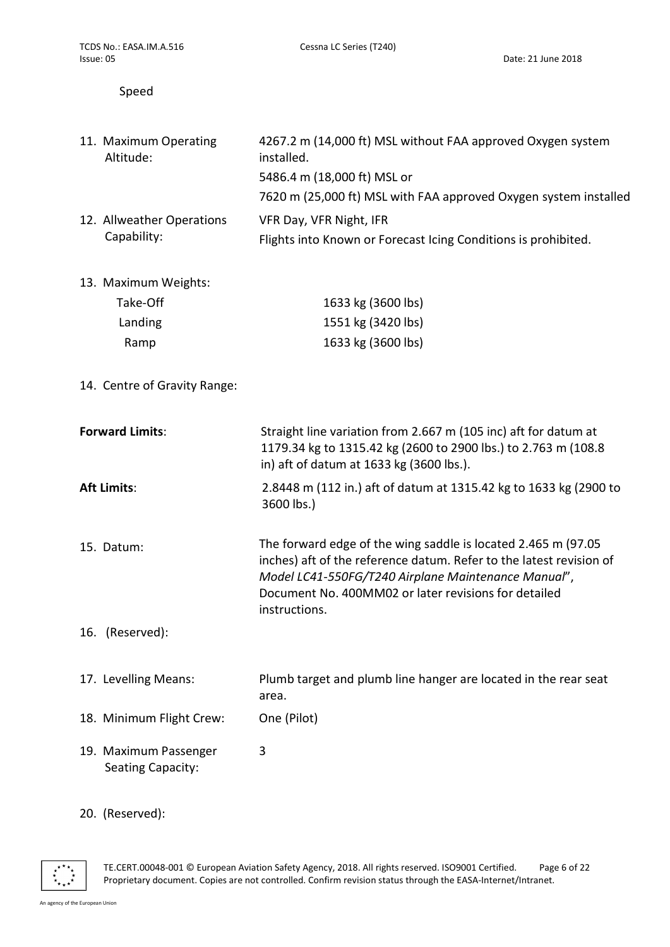Date: 21 June 2018

### Speed

| 11. Maximum Operating<br>Altitude:         | 4267.2 m (14,000 ft) MSL without FAA approved Oxygen system<br>installed.<br>5486.4 m (18,000 ft) MSL or<br>7620 m (25,000 ft) MSL with FAA approved Oxygen system installed                                                                                         |
|--------------------------------------------|----------------------------------------------------------------------------------------------------------------------------------------------------------------------------------------------------------------------------------------------------------------------|
| 12. Allweather Operations<br>Capability:   | VFR Day, VFR Night, IFR<br>Flights into Known or Forecast Icing Conditions is prohibited.                                                                                                                                                                            |
| 13. Maximum Weights:                       |                                                                                                                                                                                                                                                                      |
| Take-Off                                   | 1633 kg (3600 lbs)                                                                                                                                                                                                                                                   |
| Landing                                    | 1551 kg (3420 lbs)                                                                                                                                                                                                                                                   |
| Ramp                                       | 1633 kg (3600 lbs)                                                                                                                                                                                                                                                   |
| 14. Centre of Gravity Range:               |                                                                                                                                                                                                                                                                      |
| <b>Forward Limits:</b>                     | Straight line variation from 2.667 m (105 inc) aft for datum at<br>1179.34 kg to 1315.42 kg (2600 to 2900 lbs.) to 2.763 m (108.8<br>in) aft of datum at 1633 kg (3600 lbs.).                                                                                        |
| <b>Aft Limits:</b>                         | 2.8448 m (112 in.) aft of datum at 1315.42 kg to 1633 kg (2900 to<br>3600 lbs.)                                                                                                                                                                                      |
| 15. Datum:                                 | The forward edge of the wing saddle is located 2.465 m (97.05<br>inches) aft of the reference datum. Refer to the latest revision of<br>Model LC41-550FG/T240 Airplane Maintenance Manual",<br>Document No. 400MM02 or later revisions for detailed<br>instructions. |
| 16. (Reserved):                            |                                                                                                                                                                                                                                                                      |
| 17. Levelling Means:                       | Plumb target and plumb line hanger are located in the rear seat<br>area.                                                                                                                                                                                             |
| 18. Minimum Flight Crew:                   | One (Pilot)                                                                                                                                                                                                                                                          |
| 19. Maximum Passenger<br>Seating Capacity: | 3                                                                                                                                                                                                                                                                    |

# 20. (Reserved):



TE.CERT.00048-001 © European Aviation Safety Agency, 2018. All rights reserved. ISO9001 Certified. Page 6 of 22 Proprietary document. Copies are not controlled. Confirm revision status through the EASA-Internet/Intranet.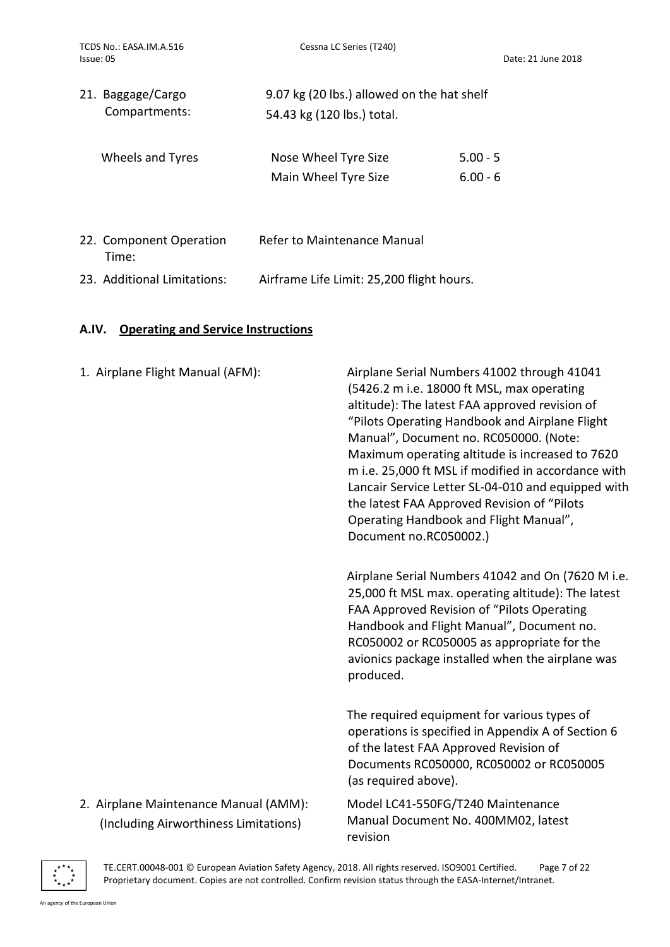| 21. Baggage/Cargo<br>Compartments: | 9.07 kg (20 lbs.) allowed on the hat shelf<br>54.43 kg (120 lbs.) total. |            |
|------------------------------------|--------------------------------------------------------------------------|------------|
| Wheels and Tyres                   | Nose Wheel Tyre Size                                                     | $5.00 - 5$ |
|                                    | Main Wheel Tyre Size                                                     | $6.00 - 6$ |
|                                    |                                                                          |            |

| 22. Component Operation     | Refer to Maintenance Manual               |  |
|-----------------------------|-------------------------------------------|--|
| Time:                       |                                           |  |
| 23. Additional Limitations: | Airframe Life Limit: 25,200 flight hours. |  |

### A.IV. Operating and Service Instructions

| 1. Airplane Flight Manual (AFM):                                               | Airplane Serial Numbers 41002 through 41041<br>(5426.2 m i.e. 18000 ft MSL, max operating<br>altitude): The latest FAA approved revision of<br>"Pilots Operating Handbook and Airplane Flight<br>Manual", Document no. RC050000. (Note:<br>Maximum operating altitude is increased to 7620<br>m i.e. 25,000 ft MSL if modified in accordance with<br>Lancair Service Letter SL-04-010 and equipped with<br>the latest FAA Approved Revision of "Pilots<br>Operating Handbook and Flight Manual",<br>Document no.RC050002.) |
|--------------------------------------------------------------------------------|----------------------------------------------------------------------------------------------------------------------------------------------------------------------------------------------------------------------------------------------------------------------------------------------------------------------------------------------------------------------------------------------------------------------------------------------------------------------------------------------------------------------------|
|                                                                                | Airplane Serial Numbers 41042 and On (7620 M i.e.<br>25,000 ft MSL max. operating altitude): The latest<br>FAA Approved Revision of "Pilots Operating<br>Handbook and Flight Manual", Document no.<br>RC050002 or RC050005 as appropriate for the<br>avionics package installed when the airplane was<br>produced.                                                                                                                                                                                                         |
|                                                                                | The required equipment for various types of<br>operations is specified in Appendix A of Section 6<br>of the latest FAA Approved Revision of<br>Documents RC050000, RC050002 or RC050005<br>(as required above).                                                                                                                                                                                                                                                                                                            |
| 2. Airplane Maintenance Manual (AMM):<br>(Including Airworthiness Limitations) | Model LC41-550FG/T240 Maintenance<br>Manual Document No. 400MM02, latest<br>revision                                                                                                                                                                                                                                                                                                                                                                                                                                       |



TE.CERT.00048-001 © European Aviation Safety Agency, 2018. All rights reserved. ISO9001 Certified. Page 7 of 22 Proprietary document. Copies are not controlled. Confirm revision status through the EASA-Internet/Intranet.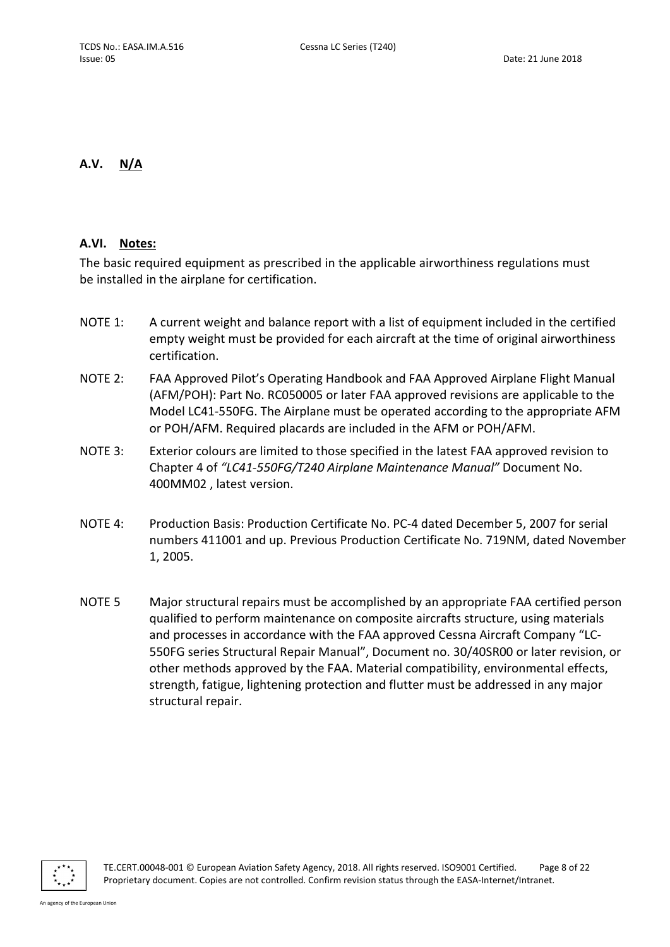### A.V. N/A

### A.VI. Notes:

The basic required equipment as prescribed in the applicable airworthiness regulations must be installed in the airplane for certification.

- NOTE 1: A current weight and balance report with a list of equipment included in the certified empty weight must be provided for each aircraft at the time of original airworthiness certification.
- NOTE 2: FAA Approved Pilot's Operating Handbook and FAA Approved Airplane Flight Manual (AFM/POH): Part No. RC050005 or later FAA approved revisions are applicable to the Model LC41-550FG. The Airplane must be operated according to the appropriate AFM or POH/AFM. Required placards are included in the AFM or POH/AFM.
- NOTE 3: Exterior colours are limited to those specified in the latest FAA approved revision to Chapter 4 of "LC41-550FG/T240 Airplane Maintenance Manual" Document No. 400MM02 , latest version.
- NOTE 4: Production Basis: Production Certificate No. PC-4 dated December 5, 2007 for serial numbers 411001 and up. Previous Production Certificate No. 719NM, dated November 1, 2005.
- NOTE 5 Major structural repairs must be accomplished by an appropriate FAA certified person qualified to perform maintenance on composite aircrafts structure, using materials and processes in accordance with the FAA approved Cessna Aircraft Company "LC-550FG series Structural Repair Manual", Document no. 30/40SR00 or later revision, or other methods approved by the FAA. Material compatibility, environmental effects, strength, fatigue, lightening protection and flutter must be addressed in any major structural repair.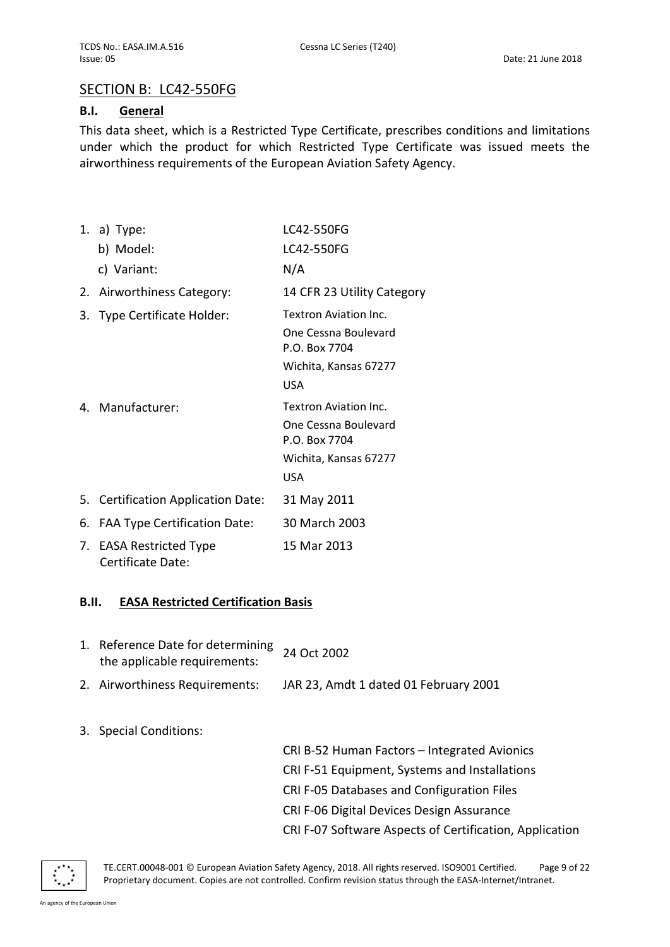# SECTION B: LC42-550FG

### B.I. General

This data sheet, which is a Restricted Type Certificate, prescribes conditions and limitations under which the product for which Restricted Type Certificate was issued meets the airworthiness requirements of the European Aviation Safety Agency.

1. a) Type: b) Model: c) Variant: LC42-550FG LC42-550FG N/A 2. Airworthiness Category: 14 CFR 23 Utility Category 3. Type Certificate Holder: Textron Aviation Inc. One Cessna Boulevard P.O. Box 7704 Wichita, Kansas 67277 USA 4. Manufacturer: Textron Aviation Inc. One Cessna Boulevard P.O. Box 7704 Wichita, Kansas 67277 USA 5. Certification Application Date: 31 May 2011 6. FAA Type Certification Date: 30 March 2003 7. EASA Restricted Type Certificate Date: 15 Mar 2013

### B.II. EASA Restricted Certification Basis

- 1. Reference Date for determining Reference Date for determining 24 Oct 2002
- 2. Airworthiness Requirements: JAR 23, Amdt 1 dated 01 February 2001
- 3. Special Conditions:

CRI B-52 Human Factors – Integrated Avionics CRI F-51 Equipment, Systems and Installations CRI F-05 Databases and Configuration Files CRI F-06 Digital Devices Design Assurance CRI F-07 Software Aspects of Certification, Application



TE.CERT.00048-001 © European Aviation Safety Agency, 2018. All rights reserved. ISO9001 Certified. Page 9 of 22 Proprietary document. Copies are not controlled. Confirm revision status through the EASA-Internet/Intranet.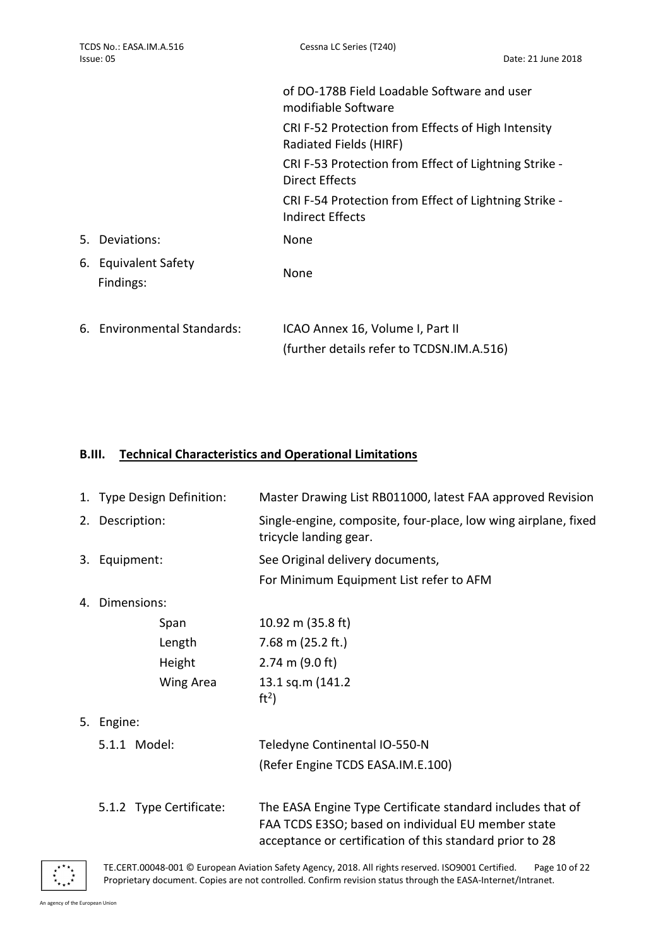|                                   | of DO-178B Field Loadable Software and user<br>modifiable Software            |
|-----------------------------------|-------------------------------------------------------------------------------|
|                                   | CRI F-52 Protection from Effects of High Intensity<br>Radiated Fields (HIRF)  |
|                                   | CRI F-53 Protection from Effect of Lightning Strike -<br>Direct Effects       |
|                                   | CRI F-54 Protection from Effect of Lightning Strike -<br>Indirect Effects     |
| 5. Deviations:                    | None                                                                          |
| 6. Equivalent Safety<br>Findings: | None                                                                          |
| 6. Environmental Standards:       | ICAO Annex 16, Volume I, Part II<br>(further details refer to TCDSN.IM.A.516) |

# B.III. Technical Characteristics and Operational Limitations

|    | 1. Type Design Definition: | Master Drawing List RB011000, latest FAA approved Revision                                                                                                                   |  |
|----|----------------------------|------------------------------------------------------------------------------------------------------------------------------------------------------------------------------|--|
|    | 2. Description:            | Single-engine, composite, four-place, low wing airplane, fixed<br>tricycle landing gear.                                                                                     |  |
| 3. | Equipment:                 | See Original delivery documents,                                                                                                                                             |  |
|    |                            | For Minimum Equipment List refer to AFM                                                                                                                                      |  |
| 4. | Dimensions:                |                                                                                                                                                                              |  |
|    | Span                       | 10.92 m (35.8 ft)                                                                                                                                                            |  |
|    | Length                     | 7.68 m $(25.2 \text{ ft.})$                                                                                                                                                  |  |
|    | Height                     | $2.74 \text{ m} (9.0 \text{ ft})$                                                                                                                                            |  |
|    | Wing Area                  | 13.1 sq.m (141.2)<br>ft <sup>2</sup>                                                                                                                                         |  |
| 5. | Engine:                    |                                                                                                                                                                              |  |
|    | 5.1.1 Model:               | Teledyne Continental IO-550-N                                                                                                                                                |  |
|    |                            | (Refer Engine TCDS EASA.IM.E.100)                                                                                                                                            |  |
|    | 5.1.2 Type Certificate:    | The EASA Engine Type Certificate standard includes that of<br>FAA TCDS E3SO; based on individual EU member state<br>acceptance or certification of this standard prior to 28 |  |

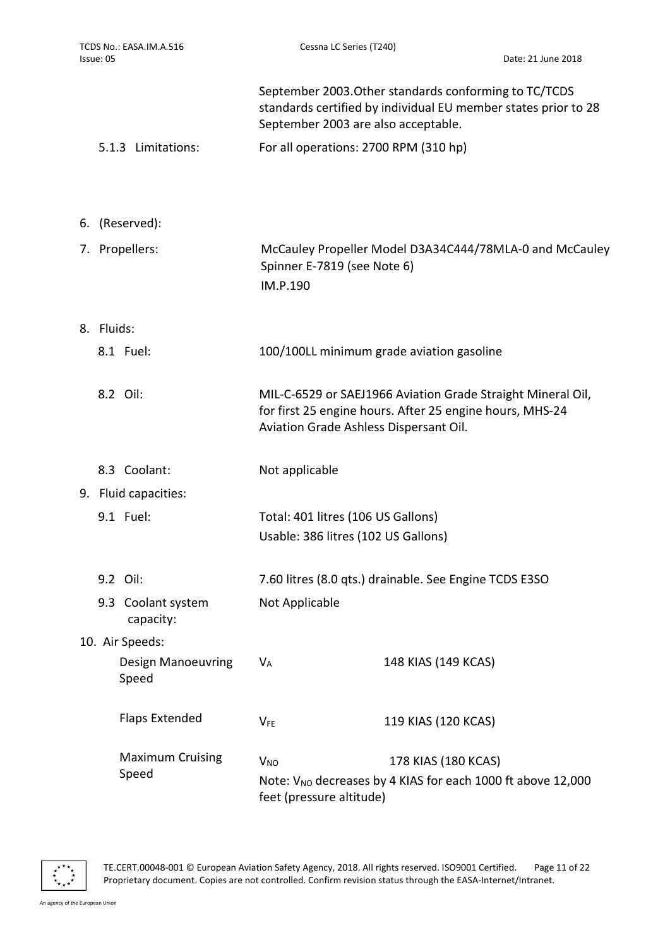| TCDS No.: EASA.IM.A.516<br>Issue: 05                                                                         |  |                                    | Cessna LC Series (T240)                                                                                                                                           |                                                        | Date: 21 June 2018 |
|--------------------------------------------------------------------------------------------------------------|--|------------------------------------|-------------------------------------------------------------------------------------------------------------------------------------------------------------------|--------------------------------------------------------|--------------------|
|                                                                                                              |  |                                    | September 2003. Other standards conforming to TC/TCDS<br>standards certified by individual EU member states prior to 28<br>September 2003 are also acceptable.    |                                                        |                    |
|                                                                                                              |  | 5.1.3 Limitations:                 | For all operations: 2700 RPM (310 hp)                                                                                                                             |                                                        |                    |
|                                                                                                              |  |                                    |                                                                                                                                                                   |                                                        |                    |
|                                                                                                              |  | 6. (Reserved):                     |                                                                                                                                                                   |                                                        |                    |
|                                                                                                              |  | 7. Propellers:                     | McCauley Propeller Model D3A34C444/78MLA-0 and McCauley<br>Spinner E-7819 (see Note 6)<br>IM.P.190                                                                |                                                        |                    |
|                                                                                                              |  | 8. Fluids:                         |                                                                                                                                                                   |                                                        |                    |
|                                                                                                              |  | 8.1 Fuel:                          |                                                                                                                                                                   | 100/100LL minimum grade aviation gasoline              |                    |
|                                                                                                              |  | 8.2 Oil:                           | MIL-C-6529 or SAEJ1966 Aviation Grade Straight Mineral Oil,<br>for first 25 engine hours. After 25 engine hours, MHS-24<br>Aviation Grade Ashless Dispersant Oil. |                                                        |                    |
|                                                                                                              |  | 8.3 Coolant:                       | Not applicable                                                                                                                                                    |                                                        |                    |
|                                                                                                              |  | 9. Fluid capacities:               |                                                                                                                                                                   |                                                        |                    |
|                                                                                                              |  | 9.1 Fuel:                          | Total: 401 litres (106 US Gallons)                                                                                                                                |                                                        |                    |
|                                                                                                              |  |                                    | Usable: 386 litres (102 US Gallons)                                                                                                                               |                                                        |                    |
|                                                                                                              |  | 9.2 Oil:                           |                                                                                                                                                                   | 7.60 litres (8.0 qts.) drainable. See Engine TCDS E3SO |                    |
|                                                                                                              |  | 9.3 Coolant system<br>capacity:    | Not Applicable                                                                                                                                                    |                                                        |                    |
|                                                                                                              |  | 10. Air Speeds:                    |                                                                                                                                                                   |                                                        |                    |
|                                                                                                              |  | <b>Design Manoeuvring</b><br>Speed | $V_A$                                                                                                                                                             | 148 KIAS (149 KCAS)                                    |                    |
|                                                                                                              |  | <b>Flaps Extended</b>              | <b>VFE</b>                                                                                                                                                        | 119 KIAS (120 KCAS)                                    |                    |
|                                                                                                              |  | <b>Maximum Cruising</b>            | $V_{NO}$                                                                                                                                                          | 178 KIAS (180 KCAS)                                    |                    |
| Speed<br>Note: V <sub>NO</sub> decreases by 4 KIAS for each 1000 ft above 12,000<br>feet (pressure altitude) |  |                                    |                                                                                                                                                                   |                                                        |                    |



TE.CERT.00048-001 © European Aviation Safety Agency, 2018. All rights reserved. ISO9001 Certified. Page 11 of 22 Proprietary document. Copies are not controlled. Confirm revision status through the EASA-Internet/Intranet.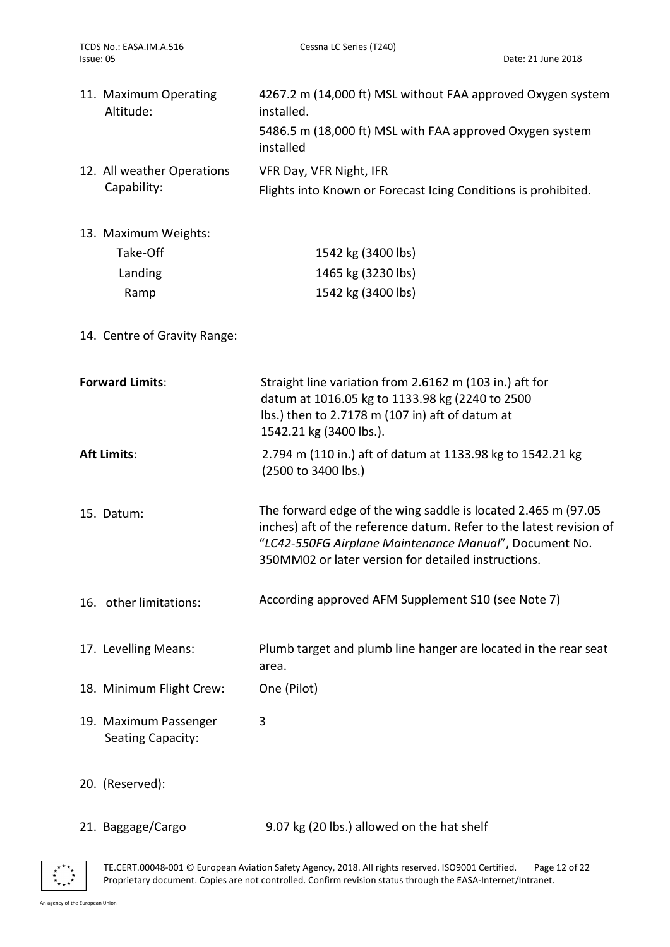| 11. Maximum Operating<br>Altitude:        | 4267.2 m (14,000 ft) MSL without FAA approved Oxygen system<br>installed.                 |
|-------------------------------------------|-------------------------------------------------------------------------------------------|
|                                           | 5486.5 m (18,000 ft) MSL with FAA approved Oxygen system<br>installed                     |
| 12. All weather Operations<br>Capability: | VFR Day, VFR Night, IFR<br>Flights into Known or Forecast Icing Conditions is prohibited. |

13. Maximum Weights:

| 1542 kg (3400 lbs) |
|--------------------|
| 1465 kg (3230 lbs) |
| 1542 kg (3400 lbs) |
|                    |

14. Centre of Gravity Range:

| <b>Forward Limits:</b>                     | Straight line variation from 2.6162 m (103 in.) aft for<br>datum at 1016.05 kg to 1133.98 kg (2240 to 2500<br>lbs.) then to 2.7178 m (107 in) aft of datum at<br>1542.21 kg (3400 lbs.).                                                              |  |  |
|--------------------------------------------|-------------------------------------------------------------------------------------------------------------------------------------------------------------------------------------------------------------------------------------------------------|--|--|
| <b>Aft Limits:</b>                         | 2.794 m (110 in.) aft of datum at 1133.98 kg to 1542.21 kg<br>(2500 to 3400 lbs.)                                                                                                                                                                     |  |  |
| 15. Datum:                                 | The forward edge of the wing saddle is located 2.465 m (97.05<br>inches) aft of the reference datum. Refer to the latest revision of<br>"LC42-550FG Airplane Maintenance Manual", Document No.<br>350MM02 or later version for detailed instructions. |  |  |
| 16. other limitations:                     | According approved AFM Supplement S10 (see Note 7)                                                                                                                                                                                                    |  |  |
| 17. Levelling Means:                       | Plumb target and plumb line hanger are located in the rear seat<br>area.                                                                                                                                                                              |  |  |
| 18. Minimum Flight Crew:                   | One (Pilot)                                                                                                                                                                                                                                           |  |  |
| 19. Maximum Passenger<br>Seating Capacity: | 3                                                                                                                                                                                                                                                     |  |  |
| 20. (Reserved):                            |                                                                                                                                                                                                                                                       |  |  |
| 21. Baggage/Cargo                          | 9.07 kg (20 lbs.) allowed on the hat shelf                                                                                                                                                                                                            |  |  |

TE.CERT.00048-001 © European Aviation Safety Agency, 2018. All rights reserved. ISO9001 Certified. Page 12 of 22 Proprietary document. Copies are not controlled. Confirm revision status through the EASA-Internet/Intranet.

 $\begin{array}{cc} \star^{\star\star}\star\\ \star\\ \star\\ \star\\ \star\\ \star\star\star\end{array}$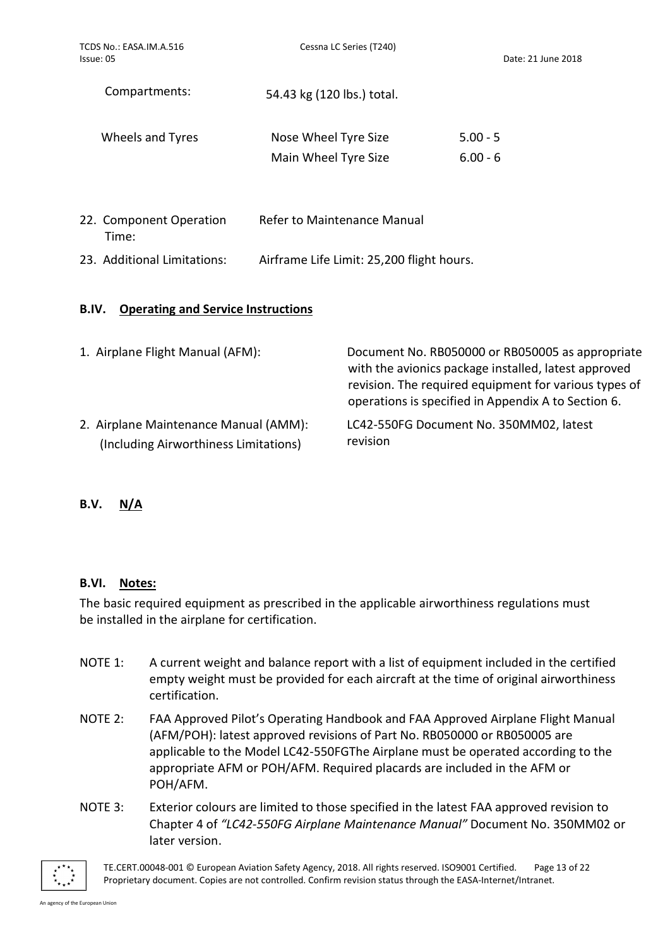| TCDS No.: EASA.IM.A.516<br>Issue: 05 | Cessna LC Series (T240)                      | Date: 21 June 2018       |  |
|--------------------------------------|----------------------------------------------|--------------------------|--|
| Compartments:                        | 54.43 kg (120 lbs.) total.                   |                          |  |
| Wheels and Tyres                     | Nose Wheel Tyre Size<br>Main Wheel Tyre Size | $5.00 - 5$<br>$6.00 - 6$ |  |
| 22. Component Operation<br>Time:     | Refer to Maintenance Manual                  |                          |  |

# 23. Additional Limitations: Airframe Life Limit: 25,200 flight hours.

# B.IV. Operating and Service Instructions

| 1. Airplane Flight Manual (AFM):      | Document No. RB050000 or RB050005 as appropriate<br>with the avionics package installed, latest approved<br>revision. The required equipment for various types of<br>operations is specified in Appendix A to Section 6. |
|---------------------------------------|--------------------------------------------------------------------------------------------------------------------------------------------------------------------------------------------------------------------------|
| 2. Airplane Maintenance Manual (AMM): | LC42-550FG Document No. 350MM02, latest                                                                                                                                                                                  |
| (Including Airworthiness Limitations) | revision                                                                                                                                                                                                                 |

# B.V. N/A

## B.VI. Notes:

The basic required equipment as prescribed in the applicable airworthiness regulations must be installed in the airplane for certification.

- NOTE 1: A current weight and balance report with a list of equipment included in the certified empty weight must be provided for each aircraft at the time of original airworthiness certification.
- NOTE 2: FAA Approved Pilot's Operating Handbook and FAA Approved Airplane Flight Manual (AFM/POH): latest approved revisions of Part No. RB050000 or RB050005 are applicable to the Model LC42-550FGThe Airplane must be operated according to the appropriate AFM or POH/AFM. Required placards are included in the AFM or POH/AFM.
- NOTE 3: Exterior colours are limited to those specified in the latest FAA approved revision to Chapter 4 of "LC42-550FG Airplane Maintenance Manual" Document No. 350MM02 or later version.



TE.CERT.00048-001 © European Aviation Safety Agency, 2018. All rights reserved. ISO9001 Certified. Page 13 of 22 Proprietary document. Copies are not controlled. Confirm revision status through the EASA-Internet/Intranet.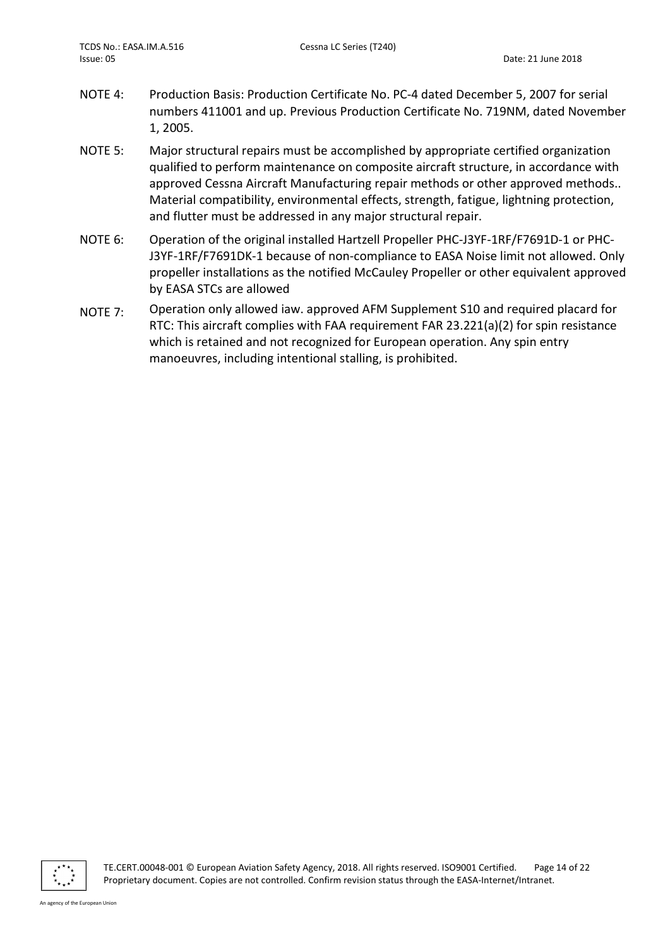- NOTE 4: Production Basis: Production Certificate No. PC-4 dated December 5, 2007 for serial numbers 411001 and up. Previous Production Certificate No. 719NM, dated November 1, 2005.
- NOTE 5: Major structural repairs must be accomplished by appropriate certified organization qualified to perform maintenance on composite aircraft structure, in accordance with approved Cessna Aircraft Manufacturing repair methods or other approved methods.. Material compatibility, environmental effects, strength, fatigue, lightning protection, and flutter must be addressed in any major structural repair.
- NOTE 6: Operation of the original installed Hartzell Propeller PHC-J3YF-1RF/F7691D-1 or PHC-J3YF-1RF/F7691DK-1 because of non-compliance to EASA Noise limit not allowed. Only propeller installations as the notified McCauley Propeller or other equivalent approved by EASA STCs are allowed
- NOTE 7: Operation only allowed iaw. approved AFM Supplement S10 and required placard for RTC: This aircraft complies with FAA requirement FAR 23.221(a)(2) for spin resistance which is retained and not recognized for European operation. Any spin entry manoeuvres, including intentional stalling, is prohibited.

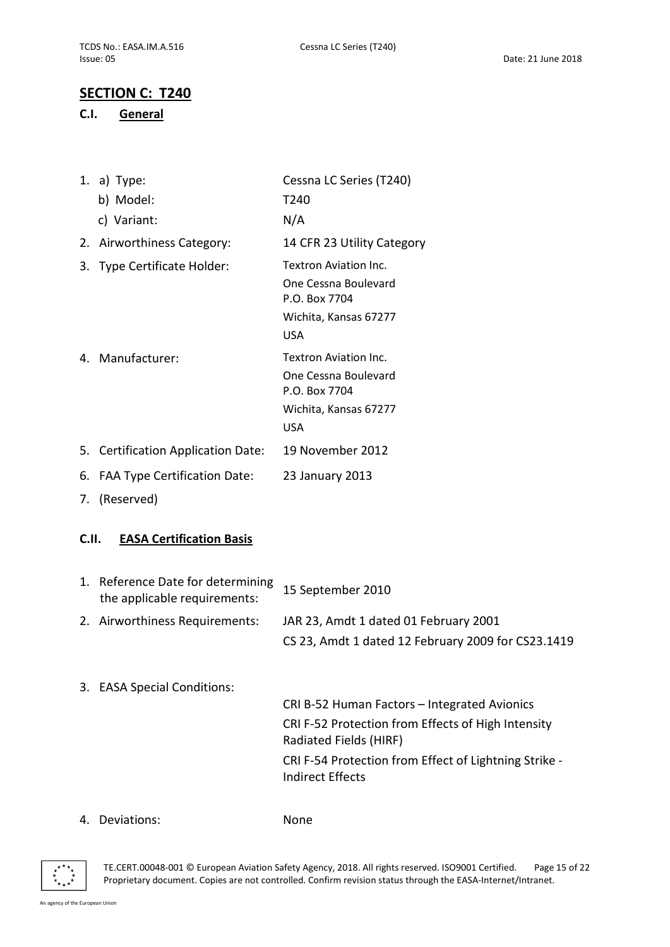# SECTION C: T240

### C.I. General

|    | 1. a) Type:                        | Cessna LC Series (T240)                                                                               |
|----|------------------------------------|-------------------------------------------------------------------------------------------------------|
|    | b) Model:                          | T240                                                                                                  |
|    | c) Variant:                        | N/A                                                                                                   |
|    | 2. Airworthiness Category:         | 14 CFR 23 Utility Category                                                                            |
|    | 3. Type Certificate Holder:        | Textron Aviation Inc.<br>One Cessna Boulevard<br>P.O. Box 7704<br>Wichita, Kansas 67277<br><b>USA</b> |
|    | 4. Manufacturer:                   | Textron Aviation Inc.<br>One Cessna Boulevard<br>P.O. Box 7704<br>Wichita, Kansas 67277<br><b>USA</b> |
|    | 5. Certification Application Date: | 19 November 2012                                                                                      |
| 6. | FAA Type Certification Date:       | 23 January 2013                                                                                       |
|    |                                    |                                                                                                       |

7. (Reserved)

### C.II. EASA Certification Basis

| 1. Reference Date for determining<br>the applicable requirements: | 15 September 2010                                  |
|-------------------------------------------------------------------|----------------------------------------------------|
| 2. Airworthiness Requirements:                                    | JAR 23, Amdt 1 dated 01 February 2001              |
|                                                                   | CS 23, Amdt 1 dated 12 February 2009 for CS23.1419 |

3. EASA Special Conditions:

CRI B-52 Human Factors – Integrated Avionics CRI F-52 Protection from Effects of High Intensity Radiated Fields (HIRF) CRI F-54 Protection from Effect of Lightning Strike - Indirect Effects

### 4. Deviations: None



TE.CERT.00048-001 © European Aviation Safety Agency, 2018. All rights reserved. ISO9001 Certified. Page 15 of 22 Proprietary document. Copies are not controlled. Confirm revision status through the EASA-Internet/Intranet.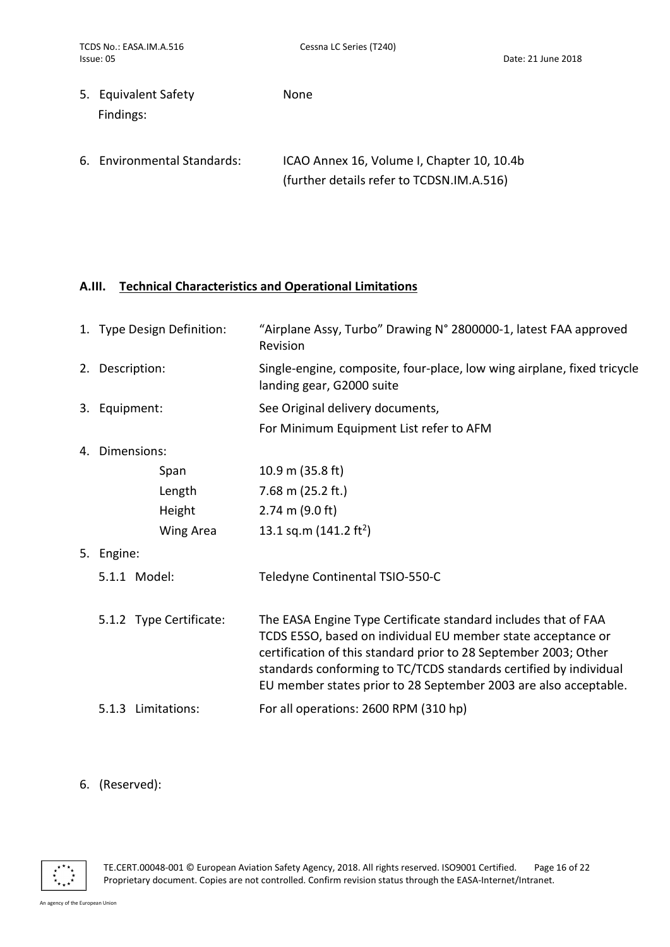| 5. Equivalent Safety<br>Findings: | <b>None</b>                                                                             |
|-----------------------------------|-----------------------------------------------------------------------------------------|
| 6. Environmental Standards:       | ICAO Annex 16, Volume I, Chapter 10, 10.4b<br>(further details refer to TCDSN.IM.A.516) |

# A.III. Technical Characteristics and Operational Limitations

|    | 1. Type Design Definition: | "Airplane Assy, Turbo" Drawing N° 2800000-1, latest FAA approved<br>Revision                                                                                                                                                                                                                                                                |
|----|----------------------------|---------------------------------------------------------------------------------------------------------------------------------------------------------------------------------------------------------------------------------------------------------------------------------------------------------------------------------------------|
|    | 2. Description:            | Single-engine, composite, four-place, low wing airplane, fixed tricycle<br>landing gear, G2000 suite                                                                                                                                                                                                                                        |
|    | 3. Equipment:              | See Original delivery documents,                                                                                                                                                                                                                                                                                                            |
|    |                            | For Minimum Equipment List refer to AFM                                                                                                                                                                                                                                                                                                     |
|    | 4. Dimensions:             |                                                                                                                                                                                                                                                                                                                                             |
|    | Span                       | 10.9 m $(35.8 \text{ ft})$                                                                                                                                                                                                                                                                                                                  |
|    | Length                     | 7.68 m $(25.2 \text{ ft.})$                                                                                                                                                                                                                                                                                                                 |
|    | Height                     | $2.74$ m (9.0 ft)                                                                                                                                                                                                                                                                                                                           |
|    | Wing Area                  | 13.1 sq.m (141.2 ft <sup>2</sup> )                                                                                                                                                                                                                                                                                                          |
| 5. | Engine:                    |                                                                                                                                                                                                                                                                                                                                             |
|    | 5.1.1 Model:               | Teledyne Continental TSIO-550-C                                                                                                                                                                                                                                                                                                             |
|    | 5.1.2 Type Certificate:    | The EASA Engine Type Certificate standard includes that of FAA<br>TCDS E5SO, based on individual EU member state acceptance or<br>certification of this standard prior to 28 September 2003; Other<br>standards conforming to TC/TCDS standards certified by individual<br>EU member states prior to 28 September 2003 are also acceptable. |
|    | 5.1.3 Limitations:         | For all operations: 2600 RPM (310 hp)                                                                                                                                                                                                                                                                                                       |
|    |                            |                                                                                                                                                                                                                                                                                                                                             |

### 6. (Reserved):

TE.CERT.00048-001 © European Aviation Safety Agency, 2018. All rights reserved. ISO9001 Certified. Page 16 of 22 Proprietary document. Copies are not controlled. Confirm revision status through the EASA-Internet/Intranet.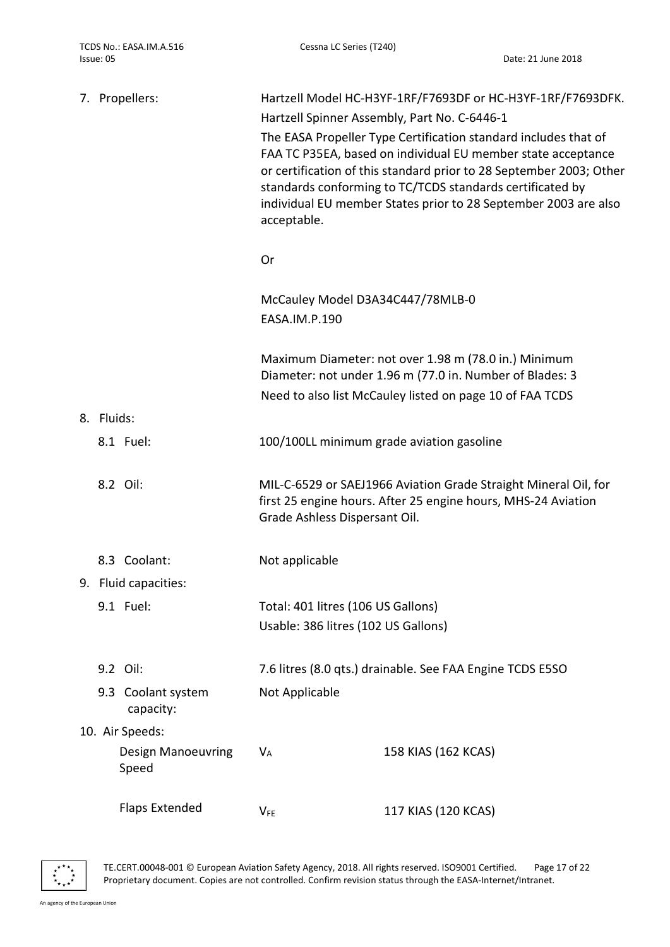|  |            | 7. Propellers:                     | Hartzell Model HC-H3YF-1RF/F7693DF or HC-H3YF-1RF/F7693DFK.<br>Hartzell Spinner Assembly, Part No. C-6446-1 |                                                                                                                                                                                                                                                                                                                                        |
|--|------------|------------------------------------|-------------------------------------------------------------------------------------------------------------|----------------------------------------------------------------------------------------------------------------------------------------------------------------------------------------------------------------------------------------------------------------------------------------------------------------------------------------|
|  |            |                                    | acceptable.                                                                                                 | The EASA Propeller Type Certification standard includes that of<br>FAA TC P35EA, based on individual EU member state acceptance<br>or certification of this standard prior to 28 September 2003; Other<br>standards conforming to TC/TCDS standards certificated by<br>individual EU member States prior to 28 September 2003 are also |
|  |            |                                    | Or                                                                                                          |                                                                                                                                                                                                                                                                                                                                        |
|  |            |                                    | McCauley Model D3A34C447/78MLB-0<br>EASA.IM.P.190                                                           |                                                                                                                                                                                                                                                                                                                                        |
|  |            |                                    |                                                                                                             | Maximum Diameter: not over 1.98 m (78.0 in.) Minimum<br>Diameter: not under 1.96 m (77.0 in. Number of Blades: 3<br>Need to also list McCauley listed on page 10 of FAA TCDS                                                                                                                                                           |
|  | 8. Fluids: |                                    |                                                                                                             |                                                                                                                                                                                                                                                                                                                                        |
|  |            | 8.1 Fuel:                          |                                                                                                             | 100/100LL minimum grade aviation gasoline                                                                                                                                                                                                                                                                                              |
|  |            | 8.2 Oil:                           | Grade Ashless Dispersant Oil.                                                                               | MIL-C-6529 or SAEJ1966 Aviation Grade Straight Mineral Oil, for<br>first 25 engine hours. After 25 engine hours, MHS-24 Aviation                                                                                                                                                                                                       |
|  |            | 8.3 Coolant:                       | Not applicable                                                                                              |                                                                                                                                                                                                                                                                                                                                        |
|  |            | 9. Fluid capacities:               |                                                                                                             |                                                                                                                                                                                                                                                                                                                                        |
|  |            | 9.1 Fuel:                          | Total: 401 litres (106 US Gallons)<br>Usable: 386 litres (102 US Gallons)                                   |                                                                                                                                                                                                                                                                                                                                        |
|  |            | 9.2 Oil:                           |                                                                                                             | 7.6 litres (8.0 qts.) drainable. See FAA Engine TCDS E5SO                                                                                                                                                                                                                                                                              |
|  |            | 9.3 Coolant system<br>capacity:    | Not Applicable                                                                                              |                                                                                                                                                                                                                                                                                                                                        |
|  |            | 10. Air Speeds:                    |                                                                                                             |                                                                                                                                                                                                                                                                                                                                        |
|  |            | <b>Design Manoeuvring</b><br>Speed | V <sub>A</sub>                                                                                              | 158 KIAS (162 KCAS)                                                                                                                                                                                                                                                                                                                    |
|  |            | <b>Flaps Extended</b>              | $V_{FE}$                                                                                                    | 117 KIAS (120 KCAS)                                                                                                                                                                                                                                                                                                                    |



TE.CERT.00048-001 © European Aviation Safety Agency, 2018. All rights reserved. ISO9001 Certified. Page 17 of 22 Proprietary document. Copies are not controlled. Confirm revision status through the EASA-Internet/Intranet.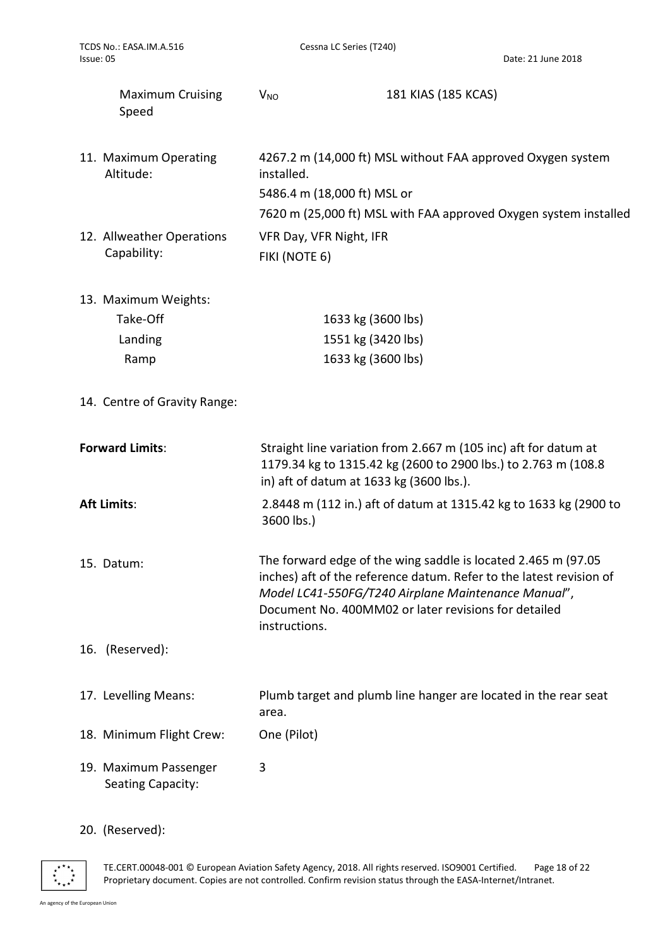| TCDS No.: EASA.IM.A.516<br>Issue: 05                | Cessna LC Series (T240)                                                                                                                                                       | Date: 21 June 2018                                                                                                                                                                                                                                  |
|-----------------------------------------------------|-------------------------------------------------------------------------------------------------------------------------------------------------------------------------------|-----------------------------------------------------------------------------------------------------------------------------------------------------------------------------------------------------------------------------------------------------|
| <b>Maximum Cruising</b><br>Speed                    | $V_{NO}$                                                                                                                                                                      | 181 KIAS (185 KCAS)                                                                                                                                                                                                                                 |
| 11. Maximum Operating<br>Altitude:                  | installed.<br>5486.4 m (18,000 ft) MSL or                                                                                                                                     | 4267.2 m (14,000 ft) MSL without FAA approved Oxygen system<br>7620 m (25,000 ft) MSL with FAA approved Oxygen system installed                                                                                                                     |
| 12. Allweather Operations<br>Capability:            | VFR Day, VFR Night, IFR<br>FIKI (NOTE 6)                                                                                                                                      |                                                                                                                                                                                                                                                     |
| 13. Maximum Weights:<br>Take-Off<br>Landing<br>Ramp | 1633 kg (3600 lbs)<br>1551 kg (3420 lbs)<br>1633 kg (3600 lbs)                                                                                                                |                                                                                                                                                                                                                                                     |
| 14. Centre of Gravity Range:                        |                                                                                                                                                                               |                                                                                                                                                                                                                                                     |
| <b>Forward Limits:</b>                              | Straight line variation from 2.667 m (105 inc) aft for datum at<br>1179.34 kg to 1315.42 kg (2600 to 2900 lbs.) to 2.763 m (108.8<br>in) aft of datum at 1633 kg (3600 lbs.). |                                                                                                                                                                                                                                                     |
| <b>Aft Limits:</b>                                  | 3600 lbs.)                                                                                                                                                                    | 2.8448 m (112 in.) aft of datum at 1315.42 kg to 1633 kg (2900 to                                                                                                                                                                                   |
| 15. Datum:                                          | instructions.                                                                                                                                                                 | The forward edge of the wing saddle is located 2.465 m (97.05<br>inches) aft of the reference datum. Refer to the latest revision of<br>Model LC41-550FG/T240 Airplane Maintenance Manual",<br>Document No. 400MM02 or later revisions for detailed |
| 16. (Reserved):                                     |                                                                                                                                                                               |                                                                                                                                                                                                                                                     |
| 17. Levelling Means:                                | area.                                                                                                                                                                         | Plumb target and plumb line hanger are located in the rear seat                                                                                                                                                                                     |
| 18. Minimum Flight Crew:                            | One (Pilot)                                                                                                                                                                   |                                                                                                                                                                                                                                                     |
| 19. Maximum Passenger<br><b>Seating Capacity:</b>   | 3                                                                                                                                                                             |                                                                                                                                                                                                                                                     |

# 20. (Reserved):

TE.CERT.00048-001 © European Aviation Safety Agency, 2018. All rights reserved. ISO9001 Certified. Page 18 of 22 Proprietary document. Copies are not controlled. Confirm revision status through the EASA-Internet/Intranet.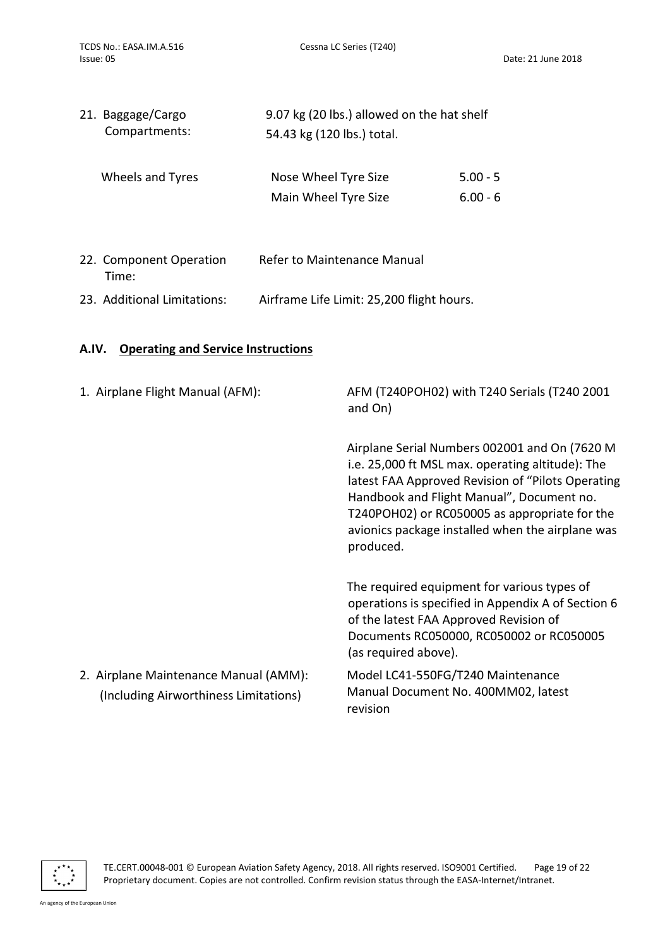Date: 21 June 2018

| 21. Baggage/Cargo | 9.07 kg (20 lbs.) allowed on the hat shelf |            |  |
|-------------------|--------------------------------------------|------------|--|
| Compartments:     | 54.43 kg (120 lbs.) total.                 |            |  |
| Wheels and Tyres  | Nose Wheel Tyre Size                       | $5.00 - 5$ |  |
|                   | Main Wheel Tyre Size                       | $6.00 - 6$ |  |
|                   |                                            |            |  |

| 22. Component Operation<br>Time: | Refer to Maintenance Manual               |
|----------------------------------|-------------------------------------------|
| 23. Additional Limitations:      | Airframe Life Limit: 25,200 flight hours. |

### A.IV. Operating and Service Instructions

| 1. Airplane Flight Manual (AFM):                                               | AFM (T240POH02) with T240 Serials (T240 2001<br>and On)                                                                                                                                                                                                                                                               |
|--------------------------------------------------------------------------------|-----------------------------------------------------------------------------------------------------------------------------------------------------------------------------------------------------------------------------------------------------------------------------------------------------------------------|
|                                                                                | Airplane Serial Numbers 002001 and On (7620 M<br>i.e. 25,000 ft MSL max. operating altitude): The<br>latest FAA Approved Revision of "Pilots Operating<br>Handbook and Flight Manual", Document no.<br>T240POH02) or RC050005 as appropriate for the<br>avionics package installed when the airplane was<br>produced. |
|                                                                                | The required equipment for various types of<br>operations is specified in Appendix A of Section 6<br>of the latest FAA Approved Revision of<br>Documents RC050000, RC050002 or RC050005<br>(as required above).                                                                                                       |
| 2. Airplane Maintenance Manual (AMM):<br>(Including Airworthiness Limitations) | Model LC41-550FG/T240 Maintenance<br>Manual Document No. 400MM02, latest<br>revision                                                                                                                                                                                                                                  |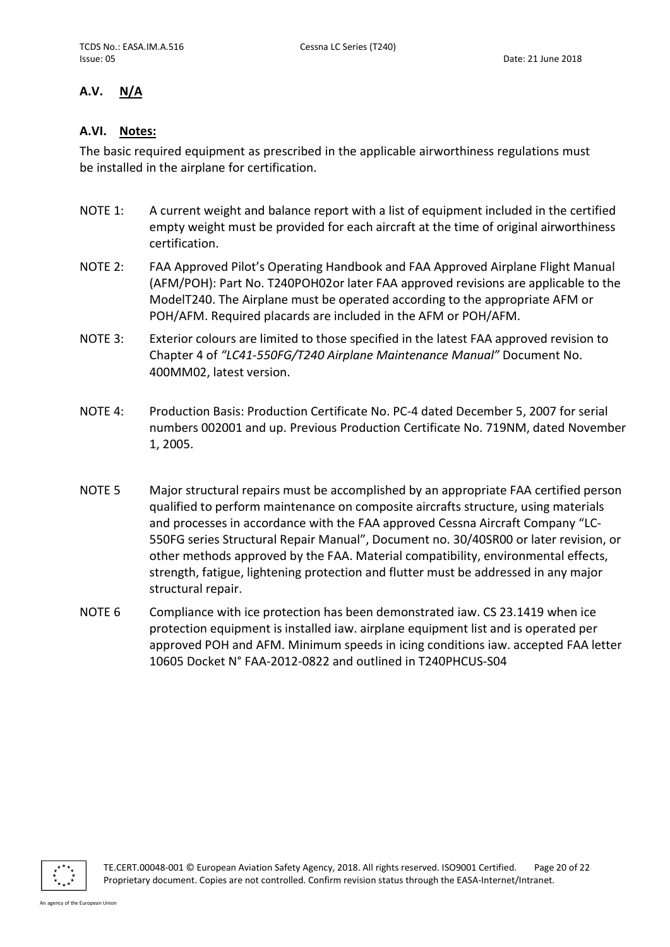### A.V. N/A

### A.VI. Notes:

The basic required equipment as prescribed in the applicable airworthiness regulations must be installed in the airplane for certification.

- NOTE 1: A current weight and balance report with a list of equipment included in the certified empty weight must be provided for each aircraft at the time of original airworthiness certification.
- NOTE 2: FAA Approved Pilot's Operating Handbook and FAA Approved Airplane Flight Manual (AFM/POH): Part No. T240POH02or later FAA approved revisions are applicable to the ModelT240. The Airplane must be operated according to the appropriate AFM or POH/AFM. Required placards are included in the AFM or POH/AFM.
- NOTE 3: Exterior colours are limited to those specified in the latest FAA approved revision to Chapter 4 of "LC41-550FG/T240 Airplane Maintenance Manual" Document No. 400MM02, latest version.
- NOTE 4: Production Basis: Production Certificate No. PC-4 dated December 5, 2007 for serial numbers 002001 and up. Previous Production Certificate No. 719NM, dated November 1, 2005.
- NOTE 5 Major structural repairs must be accomplished by an appropriate FAA certified person qualified to perform maintenance on composite aircrafts structure, using materials and processes in accordance with the FAA approved Cessna Aircraft Company "LC-550FG series Structural Repair Manual", Document no. 30/40SR00 or later revision, or other methods approved by the FAA. Material compatibility, environmental effects, strength, fatigue, lightening protection and flutter must be addressed in any major structural repair.
- NOTE 6 Compliance with ice protection has been demonstrated iaw. CS 23.1419 when ice protection equipment is installed iaw. airplane equipment list and is operated per approved POH and AFM. Minimum speeds in icing conditions iaw. accepted FAA letter 10605 Docket N° FAA-2012-0822 and outlined in T240PHCUS-S04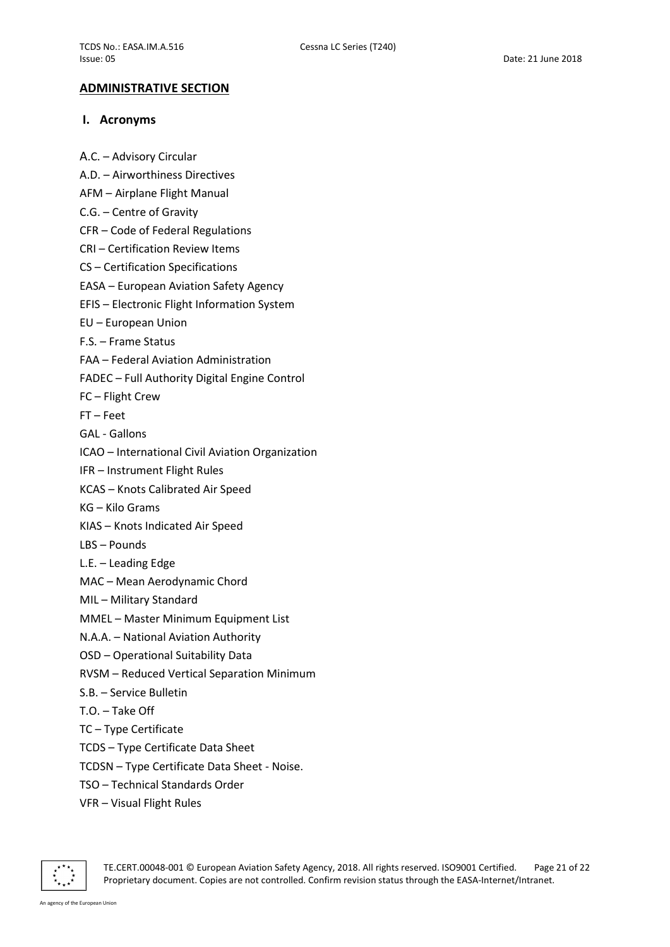### ADMINISTRATIVE SECTION

### I. Acronyms

- A.C. Advisory Circular
- A.D. Airworthiness Directives
- AFM Airplane Flight Manual
- C.G. Centre of Gravity
- CFR Code of Federal Regulations
- CRI Certification Review Items
- CS Certification Specifications
- EASA European Aviation Safety Agency
- EFIS Electronic Flight Information System
- EU European Union
- F.S. Frame Status
- FAA Federal Aviation Administration

FADEC – Full Authority Digital Engine Control

- FC Flight Crew
- FT Feet
- GAL Gallons
- ICAO International Civil Aviation Organization
- IFR Instrument Flight Rules
- KCAS Knots Calibrated Air Speed
- KG Kilo Grams
- KIAS Knots Indicated Air Speed
- LBS Pounds
- L.E. Leading Edge
- MAC Mean Aerodynamic Chord
- MIL Military Standard
- MMEL Master Minimum Equipment List
- N.A.A. National Aviation Authority
- OSD Operational Suitability Data
- RVSM Reduced Vertical Separation Minimum
- S.B. Service Bulletin
- T.O. Take Off
- TC Type Certificate
- TCDS Type Certificate Data Sheet
- TCDSN Type Certificate Data Sheet Noise.
- TSO Technical Standards Order
- VFR Visual Flight Rules



TE.CERT.00048-001 © European Aviation Safety Agency, 2018. All rights reserved. ISO9001 Certified. Page 21 of 22 Proprietary document. Copies are not controlled. Confirm revision status through the EASA-Internet/Intranet.